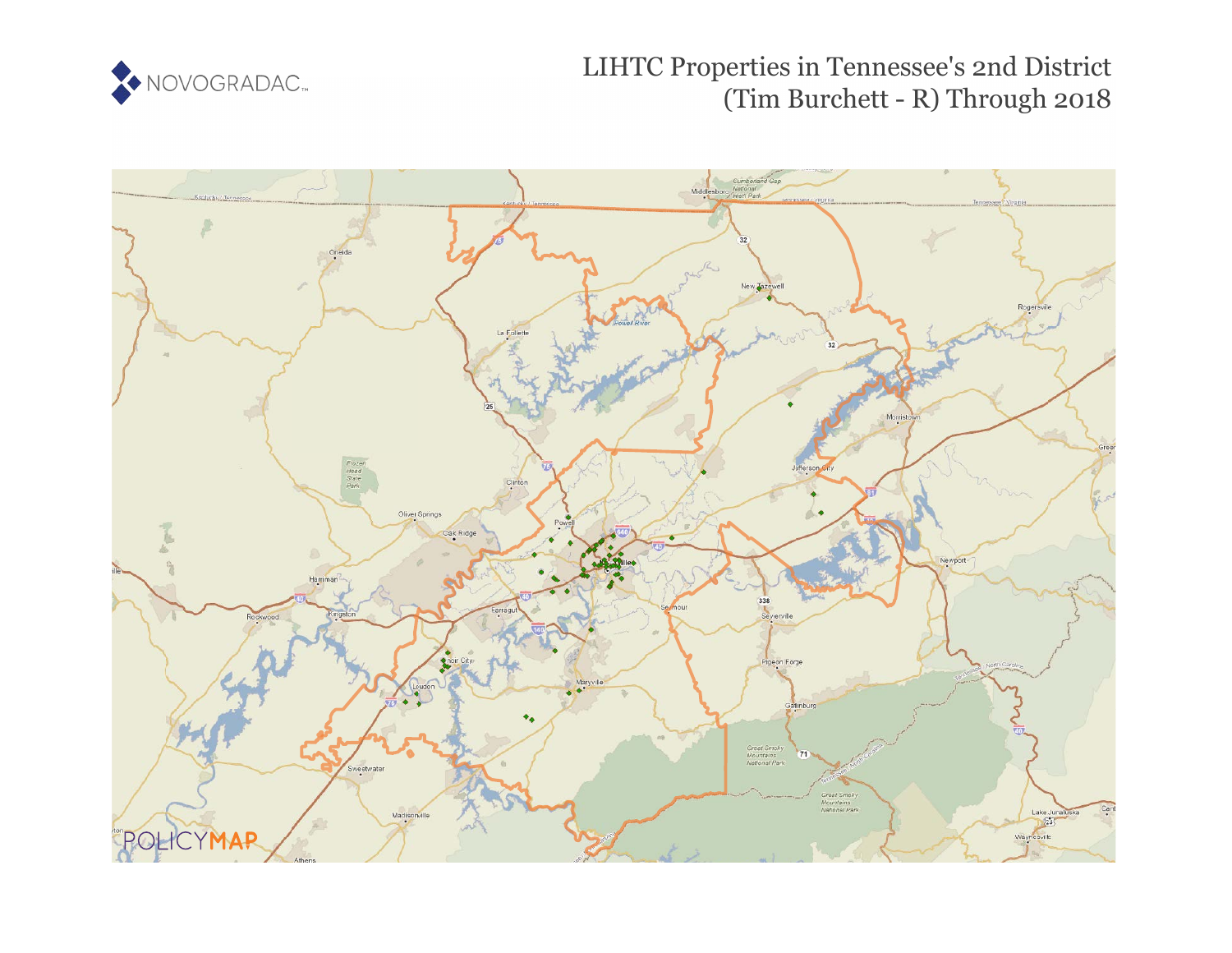

LIHTC Properties in Tennessee's 2nd District (Tim Burchett - R) Through 2018

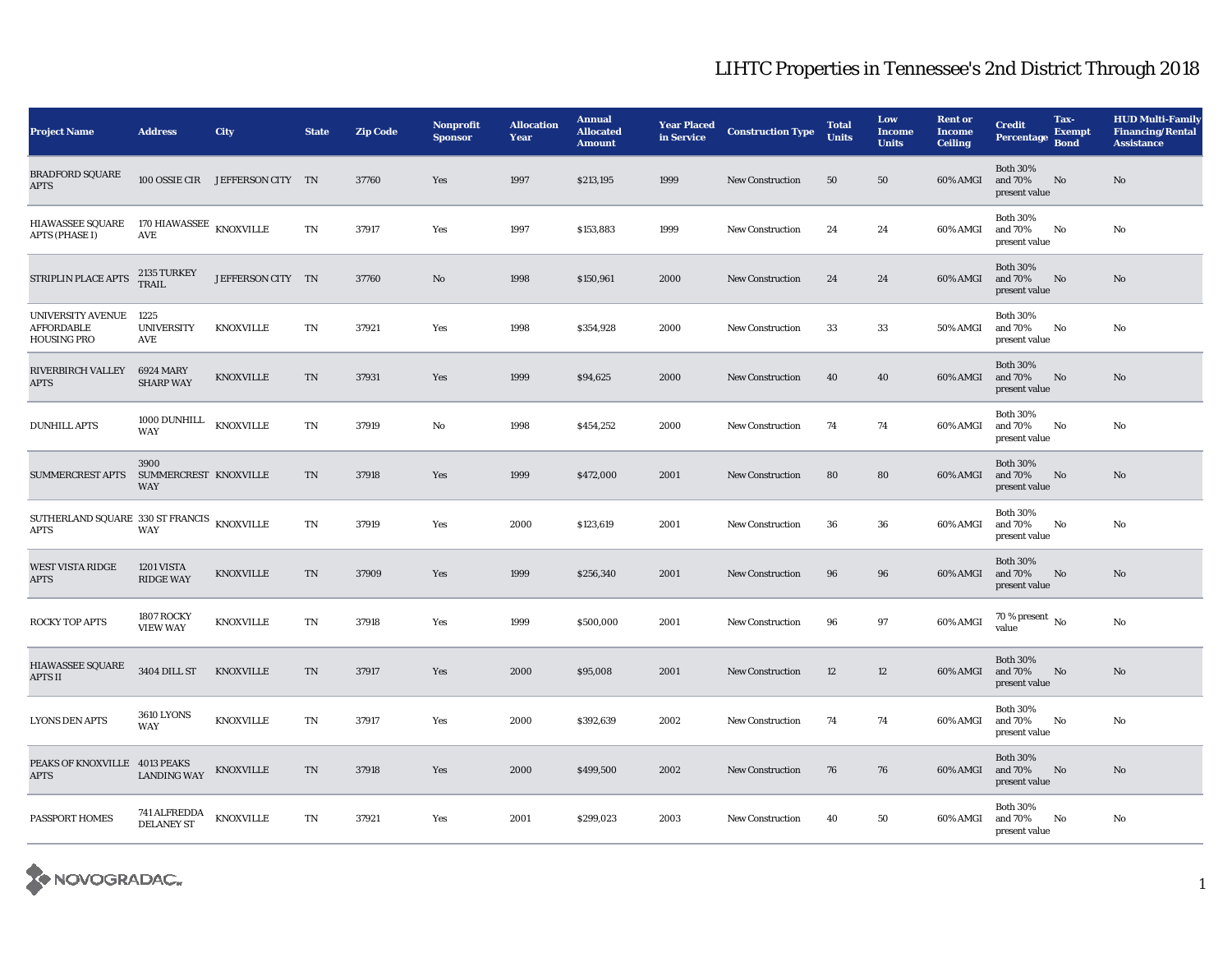| <b>Project Name</b>                                          | <b>Address</b>                                 | <b>City</b>                     | <b>State</b>           | <b>Zip Code</b> | Nonprofit<br><b>Sponsor</b> | <b>Allocation</b><br>Year | <b>Annual</b><br><b>Allocated</b><br><b>Amount</b> | <b>Year Placed</b><br>in Service | <b>Construction Type</b> | <b>Total</b><br><b>Units</b> | Low<br><b>Income</b><br><b>Units</b> | <b>Rent or</b><br><b>Income</b><br><b>Ceiling</b> | <b>Credit</b><br>Percentage                 | Tax-<br><b>Exempt</b><br><b>Bond</b> | <b>HUD Multi-Family</b><br><b>Financing/Rental</b><br><b>Assistance</b> |
|--------------------------------------------------------------|------------------------------------------------|---------------------------------|------------------------|-----------------|-----------------------------|---------------------------|----------------------------------------------------|----------------------------------|--------------------------|------------------------------|--------------------------------------|---------------------------------------------------|---------------------------------------------|--------------------------------------|-------------------------------------------------------------------------|
| <b>BRADFORD SQUARE</b><br><b>APTS</b>                        |                                                | 100 OSSIE CIR JEFFERSON CITY TN |                        | 37760           | Yes                         | 1997                      | \$213,195                                          | 1999                             | New Construction         | 50                           | 50                                   | 60% AMGI                                          | <b>Both 30%</b><br>and 70%<br>present value | No                                   | $\mathbf{N}\mathbf{o}$                                                  |
| <b>HIAWASSEE SQUARE</b><br><b>APTS (PHASE I)</b>             | 170 HIAWASSEE $\,$ KNOXVILLE<br>$\mathbf{AVE}$ |                                 | $\mathbf{T}\mathbf{N}$ | 37917           | Yes                         | 1997                      | \$153,883                                          | 1999                             | <b>New Construction</b>  | 24                           | 24                                   | 60% AMGI                                          | <b>Both 30%</b><br>and 70%<br>present value | No                                   | No                                                                      |
| STRIPLIN PLACE APTS                                          | 2135 TURKEY<br>TRAIL                           | JEFFERSON CITY TN               |                        | 37760           | No                          | 1998                      | \$150,961                                          | 2000                             | <b>New Construction</b>  | 24                           | 24                                   | 60% AMGI                                          | <b>Both 30%</b><br>and 70%<br>present value | No                                   | No                                                                      |
| UNIVERSITY AVENUE<br><b>AFFORDABLE</b><br><b>HOUSING PRO</b> | 1225<br><b>UNIVERSITY</b><br>AVE               | <b>KNOXVILLE</b>                | $\mathbf{T}\mathbf{N}$ | 37921           | Yes                         | 1998                      | \$354,928                                          | 2000                             | New Construction         | 33                           | 33                                   | 50% AMGI                                          | <b>Both 30%</b><br>and 70%<br>present value | No                                   | No                                                                      |
| <b>RIVERBIRCH VALLEY</b><br><b>APTS</b>                      | <b>6924 MARY</b><br><b>SHARP WAY</b>           | <b>KNOXVILLE</b>                | <b>TN</b>              | 37931           | Yes                         | 1999                      | \$94,625                                           | 2000                             | <b>New Construction</b>  | 40                           | 40                                   | 60% AMGI                                          | <b>Both 30%</b><br>and 70%<br>present value | No                                   | $\mathbf{N}\mathbf{o}$                                                  |
| <b>DUNHILL APTS</b>                                          | 1000 DUNHILL<br><b>WAY</b>                     | <b>KNOXVILLE</b>                | $\mathbf{T}\mathbf{N}$ | 37919           | No                          | 1998                      | \$454,252                                          | 2000                             | New Construction         | 74                           | 74                                   | 60% AMGI                                          | <b>Both 30%</b><br>and 70%<br>present value | No                                   | No                                                                      |
| <b>SUMMERCREST APTS</b>                                      | 3900<br>SUMMERCREST KNOXVILLE<br>WAY           |                                 | TN                     | 37918           | Yes                         | 1999                      | \$472,000                                          | 2001                             | <b>New Construction</b>  | 80                           | 80                                   | 60% AMGI                                          | <b>Both 30%</b><br>and 70%<br>present value | No                                   | No                                                                      |
| SUTHERLAND SQUARE 330 ST FRANCIS KNOXVILLE<br><b>APTS</b>    | <b>WAY</b>                                     |                                 | $\mathbf{T}\mathbf{N}$ | 37919           | Yes                         | 2000                      | \$123,619                                          | 2001                             | <b>New Construction</b>  | 36                           | 36                                   | 60% AMGI                                          | <b>Both 30%</b><br>and 70%<br>present value | No                                   | No                                                                      |
| WEST VISTA RIDGE<br><b>APTS</b>                              | 1201 VISTA<br><b>RIDGE WAY</b>                 | <b>KNOXVILLE</b>                | TN                     | 37909           | Yes                         | 1999                      | \$256,340                                          | 2001                             | <b>New Construction</b>  | 96                           | 96                                   | 60% AMGI                                          | <b>Both 30%</b><br>and 70%<br>present value | No                                   | $\mathbf{N}\mathbf{o}$                                                  |
| ROCKY TOP APTS                                               | 1807 ROCKY<br><b>VIEW WAY</b>                  | <b>KNOXVILLE</b>                | TN                     | 37918           | Yes                         | 1999                      | \$500,000                                          | 2001                             | <b>New Construction</b>  | 96                           | 97                                   | 60% AMGI                                          | 70 % present $\,$ No $\,$<br>value          |                                      | No                                                                      |
| HIAWASSEE SQUARE<br><b>APTS II</b>                           | <b>3404 DILL ST</b>                            | <b>KNOXVILLE</b>                | TN                     | 37917           | Yes                         | 2000                      | \$95,008                                           | 2001                             | <b>New Construction</b>  | 12                           | 12                                   | 60% AMGI                                          | <b>Both 30%</b><br>and 70%<br>present value | No                                   | No                                                                      |
| <b>LYONS DEN APTS</b>                                        | <b>3610 LYONS</b><br><b>WAY</b>                | <b>KNOXVILLE</b>                | TN                     | 37917           | Yes                         | 2000                      | \$392,639                                          | 2002                             | New Construction         | 74                           | 74                                   | 60% AMGI                                          | <b>Both 30%</b><br>and 70%<br>present value | No                                   | No                                                                      |
| PEAKS OF KNOXVILLE 4013 PEAKS<br><b>APTS</b>                 | <b>LANDING WAY</b>                             | KNOXVILLE                       | TN                     | 37918           | Yes                         | 2000                      | \$499,500                                          | 2002                             | <b>New Construction</b>  | 76                           | 76                                   | 60% AMGI                                          | <b>Both 30%</b><br>and 70%<br>present value | No                                   | $\rm No$                                                                |
| PASSPORT HOMES                                               | <b>741 ALFREDDA</b><br><b>DELANEY ST</b>       | <b>KNOXVILLE</b>                | $\mathbf{T}\mathbf{N}$ | 37921           | Yes                         | 2001                      | \$299,023                                          | 2003                             | <b>New Construction</b>  | 40                           | 50                                   | 60% AMGI                                          | <b>Both 30%</b><br>and 70%<br>present value | No                                   | No                                                                      |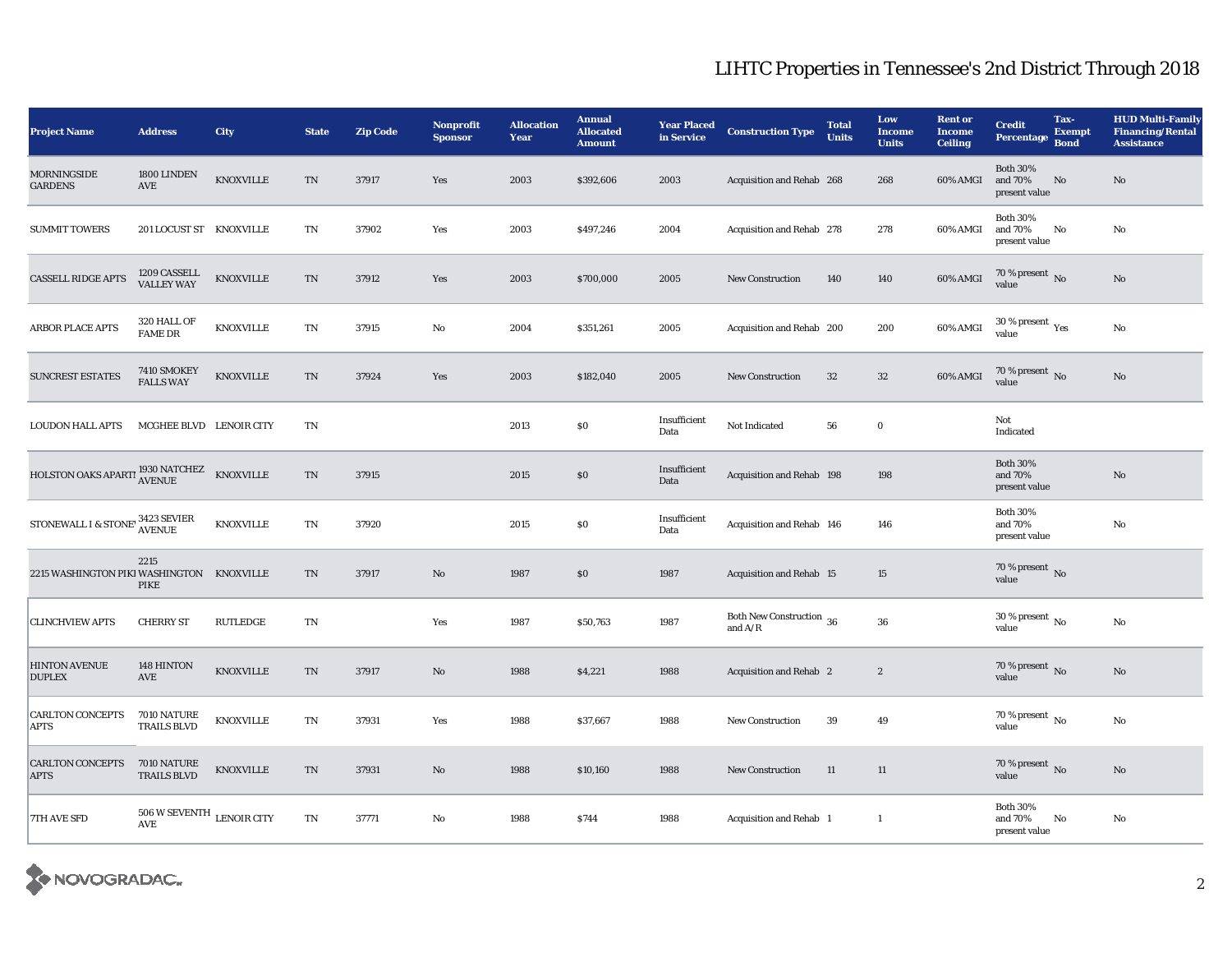| <b>Project Name</b>                                   | <b>Address</b>                          | <b>City</b>      | <b>State</b>           | <b>Zip Code</b> | Nonprofit<br><b>Sponsor</b> | <b>Allocation</b><br>Year | <b>Annual</b><br><b>Allocated</b><br><b>Amount</b> | <b>Year Placed</b><br>in Service | <b>Construction Type</b>              | <b>Total</b><br><b>Units</b> | Low<br><b>Income</b><br><b>Units</b> | <b>Rent or</b><br><b>Income</b><br><b>Ceiling</b> | <b>Credit</b><br>Percentage                 | Tax-<br><b>Exempt</b><br><b>Bond</b> | <b>HUD Multi-Family</b><br><b>Financing/Rental</b><br><b>Assistance</b> |
|-------------------------------------------------------|-----------------------------------------|------------------|------------------------|-----------------|-----------------------------|---------------------------|----------------------------------------------------|----------------------------------|---------------------------------------|------------------------------|--------------------------------------|---------------------------------------------------|---------------------------------------------|--------------------------------------|-------------------------------------------------------------------------|
| <b>MORNINGSIDE</b><br><b>GARDENS</b>                  | 1800 LINDEN<br>AVE                      | KNOXVILLE        | $\rm TN$               | 37917           | Yes                         | 2003                      | \$392,606                                          | 2003                             | Acquisition and Rehab 268             |                              | 268                                  | 60% AMGI                                          | <b>Both 30%</b><br>and 70%<br>present value | $\rm No$                             | No                                                                      |
| <b>SUMMIT TOWERS</b>                                  | 201 LOCUST ST KNOXVILLE                 |                  | TN                     | 37902           | Yes                         | 2003                      | \$497,246                                          | 2004                             | Acquisition and Rehab 278             |                              | 278                                  | 60% AMGI                                          | <b>Both 30%</b><br>and 70%<br>present value | No                                   | No                                                                      |
| <b>CASSELL RIDGE APTS</b>                             | 1209 CASSELL<br><b>VALLEY WAY</b>       | KNOXVILLE        | $\rm TN$               | 37912           | Yes                         | 2003                      | \$700,000                                          | 2005                             | <b>New Construction</b>               | 140                          | 140                                  | 60% AMGI                                          | $70\,\%$ present $\,$ No value              |                                      | No                                                                      |
| ARBOR PLACE APTS                                      | 320 HALL OF<br><b>FAME DR</b>           | KNOXVILLE        | TN                     | 37915           | No                          | 2004                      | \$351,261                                          | 2005                             | Acquisition and Rehab 200             |                              | 200                                  | 60% AMGI                                          | 30 % present $\rm\,Yes$<br>value            |                                      | No                                                                      |
| <b>SUNCREST ESTATES</b>                               | 7410 SMOKEY<br><b>FALLS WAY</b>         | KNOXVILLE        | $\rm TN$               | 37924           | Yes                         | 2003                      | \$182,040                                          | 2005                             | <b>New Construction</b>               | 32                           | $32\,$                               | 60% AMGI                                          | 70 % present No<br>value                    |                                      | No                                                                      |
| <b>LOUDON HALL APTS</b>                               | MCGHEE BLVD LENOIR CITY                 |                  | TN                     |                 |                             | 2013                      | $\$0$                                              | Insufficient<br>Data             | Not Indicated                         | 56                           | $\mathbf 0$                          |                                                   | Not<br>Indicated                            |                                      |                                                                         |
| HOLSTON OAKS APARTI <sup>1930</sup> NATCHEZ           |                                         | <b>KNOXVILLE</b> | TN                     | 37915           |                             | 2015                      | \$0                                                | Insufficient<br>Data             | Acquisition and Rehab 198             |                              | 198                                  |                                                   | <b>Both 30%</b><br>and 70%<br>present value |                                      | No                                                                      |
| STONEWALL I & STONE' <sup>3423</sup> SEVIER<br>AVENUE |                                         | <b>KNOXVILLE</b> | TN                     | 37920           |                             | 2015                      | $\$0$                                              | Insufficient<br>Data             | Acquisition and Rehab 146             |                              | 146                                  |                                                   | <b>Both 30%</b><br>and 70%<br>present value |                                      | No                                                                      |
| 2215 WASHINGTON PIKI WASHINGTON KNOXVILLE             | 2215<br>PIKE                            |                  | $\rm TN$               | 37917           | No                          | 1987                      | $\$0$                                              | 1987                             | Acquisition and Rehab 15              |                              | 15                                   |                                                   | 70 % present No<br>value                    |                                      |                                                                         |
| <b>CLINCHVIEW APTS</b>                                | <b>CHERRY ST</b>                        | <b>RUTLEDGE</b>  | TN                     |                 | Yes                         | 1987                      | \$50,763                                           | 1987                             | Both New Construction 36<br>and $A/R$ |                              | 36                                   |                                                   | 30 % present $\,$ No $\,$<br>value          |                                      | No                                                                      |
| <b>HINTON AVENUE</b><br><b>DUPLEX</b>                 | 148 HINTON<br>AVE                       | KNOXVILLE        | $\rm TN$               | 37917           | No                          | 1988                      | \$4,221                                            | 1988                             | Acquisition and Rehab 2               |                              | $\boldsymbol{2}$                     |                                                   | 70 % present No<br>value                    |                                      | No                                                                      |
| <b>CARLTON CONCEPTS</b><br><b>APTS</b>                | 7010 NATURE<br><b>TRAILS BLVD</b>       | <b>KNOXVILLE</b> | $\mathbf{T}\mathbf{N}$ | 37931           | Yes                         | 1988                      | \$37,667                                           | 1988                             | <b>New Construction</b>               | 39                           | 49                                   |                                                   | $70\,\%$ present $\,$ No $\,$<br>value      |                                      | No                                                                      |
| <b>CARLTON CONCEPTS</b><br><b>APTS</b>                | 7010 NATURE<br><b>TRAILS BLVD</b>       | <b>KNOXVILLE</b> | $\rm TN$               | 37931           | No                          | 1988                      | \$10,160                                           | 1988                             | <b>New Construction</b>               | 11                           | 11                                   |                                                   | 70 % present $\,$ No $\,$<br>value          |                                      | No                                                                      |
| <b>7TH AVE SFD</b>                                    | $506$ W SEVENTH $\,$ LENOIR CITY<br>AVE |                  | TN                     | 37771           | No                          | 1988                      | \$744                                              | 1988                             | Acquisition and Rehab 1               |                              | $\mathbf{1}$                         |                                                   | <b>Both 30%</b><br>and 70%<br>present value | No                                   | No                                                                      |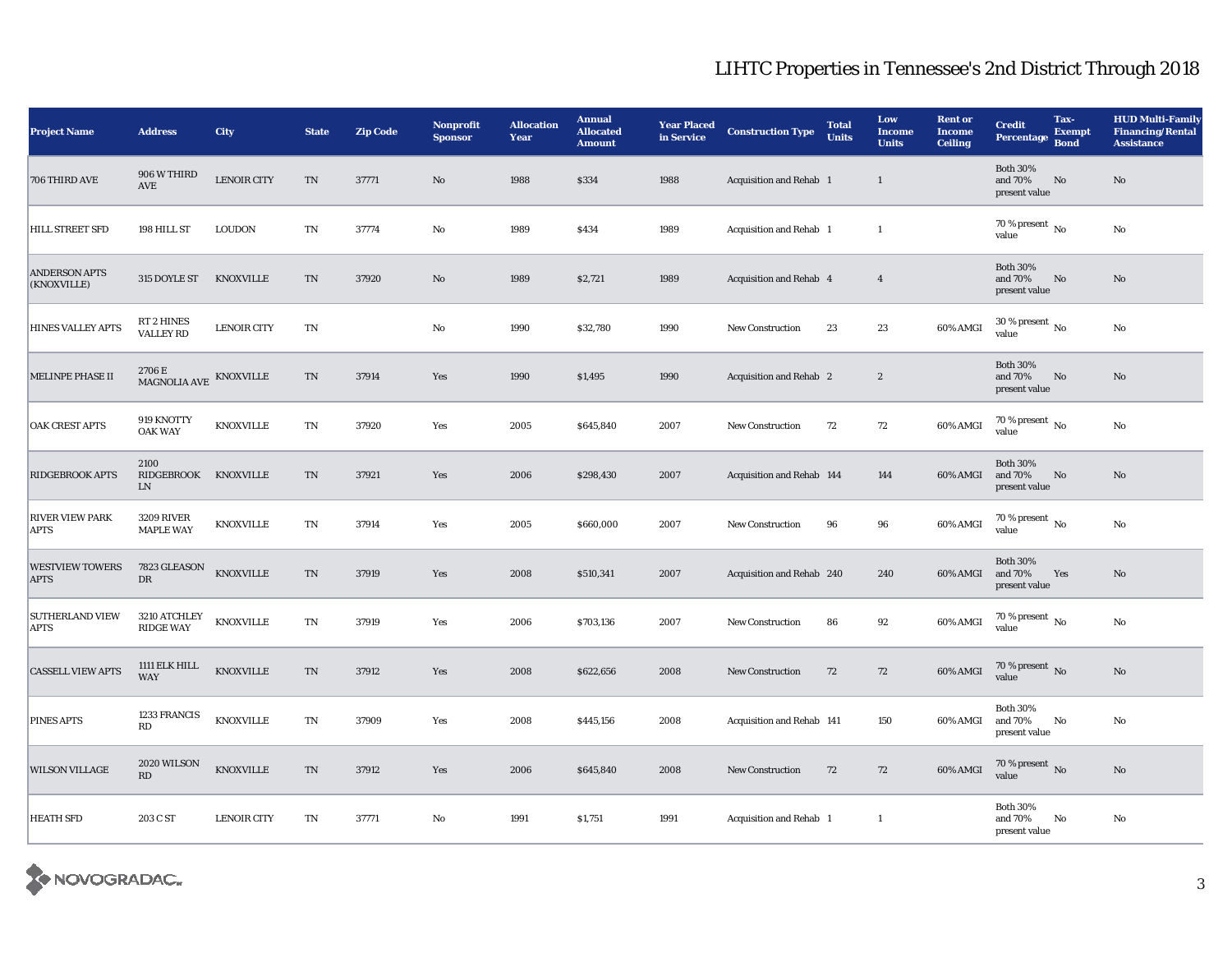| <b>Project Name</b>                   | <b>Address</b>                                              | City               | <b>State</b>               | <b>Zip Code</b> | Nonprofit<br><b>Sponsor</b> | <b>Allocation</b><br>Year | <b>Annual</b><br><b>Allocated</b><br><b>Amount</b> | <b>Year Placed</b><br>in Service | <b>Construction Type</b>       | <b>Total</b><br><b>Units</b> | Low<br><b>Income</b><br><b>Units</b> | <b>Rent or</b><br><b>Income</b><br><b>Ceiling</b> | <b>Credit</b><br><b>Percentage</b>          | Tax-<br><b>Exempt</b><br><b>Bond</b> | <b>HUD Multi-Family</b><br><b>Financing/Rental</b><br><b>Assistance</b> |
|---------------------------------------|-------------------------------------------------------------|--------------------|----------------------------|-----------------|-----------------------------|---------------------------|----------------------------------------------------|----------------------------------|--------------------------------|------------------------------|--------------------------------------|---------------------------------------------------|---------------------------------------------|--------------------------------------|-------------------------------------------------------------------------|
| 706 THIRD AVE                         | 906 W THIRD<br>$\operatorname{AVE}$                         | <b>LENOIR CITY</b> | $\rm TN$                   | 37771           | No                          | 1988                      | \$334                                              | 1988                             | Acquisition and Rehab 1        |                              | $\mathbf{1}$                         |                                                   | <b>Both 30%</b><br>and 70%<br>present value | $\rm No$                             | No                                                                      |
| HILL STREET SFD                       | 198 HILL ST                                                 | <b>LOUDON</b>      | $\mathbf{T}\mathbf{N}$     | 37774           | $\mathbf{No}$               | 1989                      | \$434                                              | 1989                             | Acquisition and Rehab 1        |                              | $\mathbf{1}$                         |                                                   | 70 % present $\,$ No $\,$<br>value          |                                      | No                                                                      |
| <b>ANDERSON APTS</b><br>(KNOXVILLE)   | 315 DOYLE ST                                                | <b>KNOXVILLE</b>   | TN                         | 37920           | No                          | 1989                      | \$2,721                                            | 1989                             | Acquisition and Rehab 4        |                              | $\overline{4}$                       |                                                   | <b>Both 30%</b><br>and 70%<br>present value | $\mathbf{N}\mathbf{o}$               | No                                                                      |
| <b>HINES VALLEY APTS</b>              | RT 2 HINES<br><b>VALLEY RD</b>                              | <b>LENOIR CITY</b> | $\mathop{\rm TN}\nolimits$ |                 | No                          | 1990                      | \$32,780                                           | 1990                             | <b>New Construction</b>        | 23                           | 23                                   | 60% AMGI                                          | $30$ % present $\,$ No $\,$<br>value        |                                      | No                                                                      |
| MELINPE PHASE II                      | $2706\,\mathrm{E}$ MAGNOLIA AVE $\,$ KNOXVILLE MAGNOLIA AVE |                    | $\rm TN$                   | 37914           | Yes                         | 1990                      | \$1,495                                            | 1990                             | Acquisition and Rehab 2        |                              | $\boldsymbol{2}$                     |                                                   | <b>Both 30%</b><br>and 70%<br>present value | $\rm No$                             | No                                                                      |
| <b>OAK CREST APTS</b>                 | 919 KNOTTY<br><b>OAK WAY</b>                                | <b>KNOXVILLE</b>   | $\mathcal{T}\mathcal{N}$   | 37920           | Yes                         | 2005                      | \$645,840                                          | 2007                             | <b>New Construction</b>        | 72                           | 72                                   | 60% AMGI                                          | 70 % present $\overline{N_0}$<br>value      |                                      | No                                                                      |
| <b>RIDGEBROOK APTS</b>                | 2100<br>RIDGEBROOK KNOXVILLE<br>${\rm LN}$                  |                    | $\rm TN$                   | 37921           | Yes                         | 2006                      | \$298,430                                          | 2007                             | Acquisition and Rehab 144      |                              | 144                                  | 60% AMGI                                          | <b>Both 30%</b><br>and 70%<br>present value | $\mathbf{N}\mathbf{o}$               | No                                                                      |
| <b>RIVER VIEW PARK</b><br><b>APTS</b> | <b>3209 RIVER</b><br><b>MAPLE WAY</b>                       | <b>KNOXVILLE</b>   | $\mathcal{T}\mathcal{N}$   | 37914           | Yes                         | 2005                      | \$660,000                                          | 2007                             | <b>New Construction</b>        | 96                           | 96                                   | 60% AMGI                                          | 70 % present $\,$ No $\,$<br>value          |                                      | No                                                                      |
| <b>WESTVIEW TOWERS</b><br><b>APTS</b> | $7823 \, \mbox{GLEASON}$<br>DR                              | <b>KNOXVILLE</b>   | $\mathop{\rm TN}\nolimits$ | 37919           | Yes                         | 2008                      | \$510,341                                          | 2007                             | Acquisition and Rehab 240      |                              | 240                                  | 60% AMGI                                          | <b>Both 30%</b><br>and 70%<br>present value | Yes                                  | No                                                                      |
| <b>SUTHERLAND VIEW</b><br><b>APTS</b> | 3210 ATCHLEY<br><b>RIDGE WAY</b>                            | <b>KNOXVILLE</b>   | $\mathcal{T}\mathcal{N}$   | 37919           | Yes                         | 2006                      | \$703,136                                          | 2007                             | <b>New Construction</b>        | 86                           | 92                                   | 60% AMGI                                          | 70 % present $\hbox{~No}$<br>value          |                                      | $\rm No$                                                                |
| <b>CASSELL VIEW APTS</b>              | 1111 ELK HILL<br><b>WAY</b>                                 | KNOXVILLE          | $\mathop{\rm TN}\nolimits$ | 37912           | Yes                         | 2008                      | \$622,656                                          | 2008                             | <b>New Construction</b>        | 72                           | 72                                   | $60\%$ AMGI                                       | $70\,\%$ present $\,$ No value              |                                      | No                                                                      |
| <b>PINES APTS</b>                     | 1233 FRANCIS<br>RD                                          | <b>KNOXVILLE</b>   | $\mathcal{T}\mathcal{N}$   | 37909           | Yes                         | 2008                      | \$445,156                                          | 2008                             | Acquisition and Rehab 141      |                              | 150                                  | 60% AMGI                                          | <b>Both 30%</b><br>and 70%<br>present value | No                                   | No                                                                      |
| <b>WILSON VILLAGE</b>                 | 2020 WILSON<br>$\mathbf{R}\mathbf{D}$                       | <b>KNOXVILLE</b>   | $\mathop{\rm TN}\nolimits$ | 37912           | Yes                         | 2006                      | \$645,840                                          | 2008                             | <b>New Construction</b>        | 72                           | 72                                   | 60% AMGI                                          | $70$ % present $\,$ No value                |                                      | $\mathbf{N}\mathbf{o}$                                                  |
| <b>HEATH SFD</b>                      | 203 C ST                                                    | <b>LENOIR CITY</b> | $\mathbf{T}\mathbf{N}$     | 37771           | No                          | 1991                      | \$1,751                                            | 1991                             | <b>Acquisition and Rehab</b> 1 |                              | $\mathbf{1}$                         |                                                   | <b>Both 30%</b><br>and 70%<br>present value | No                                   | No                                                                      |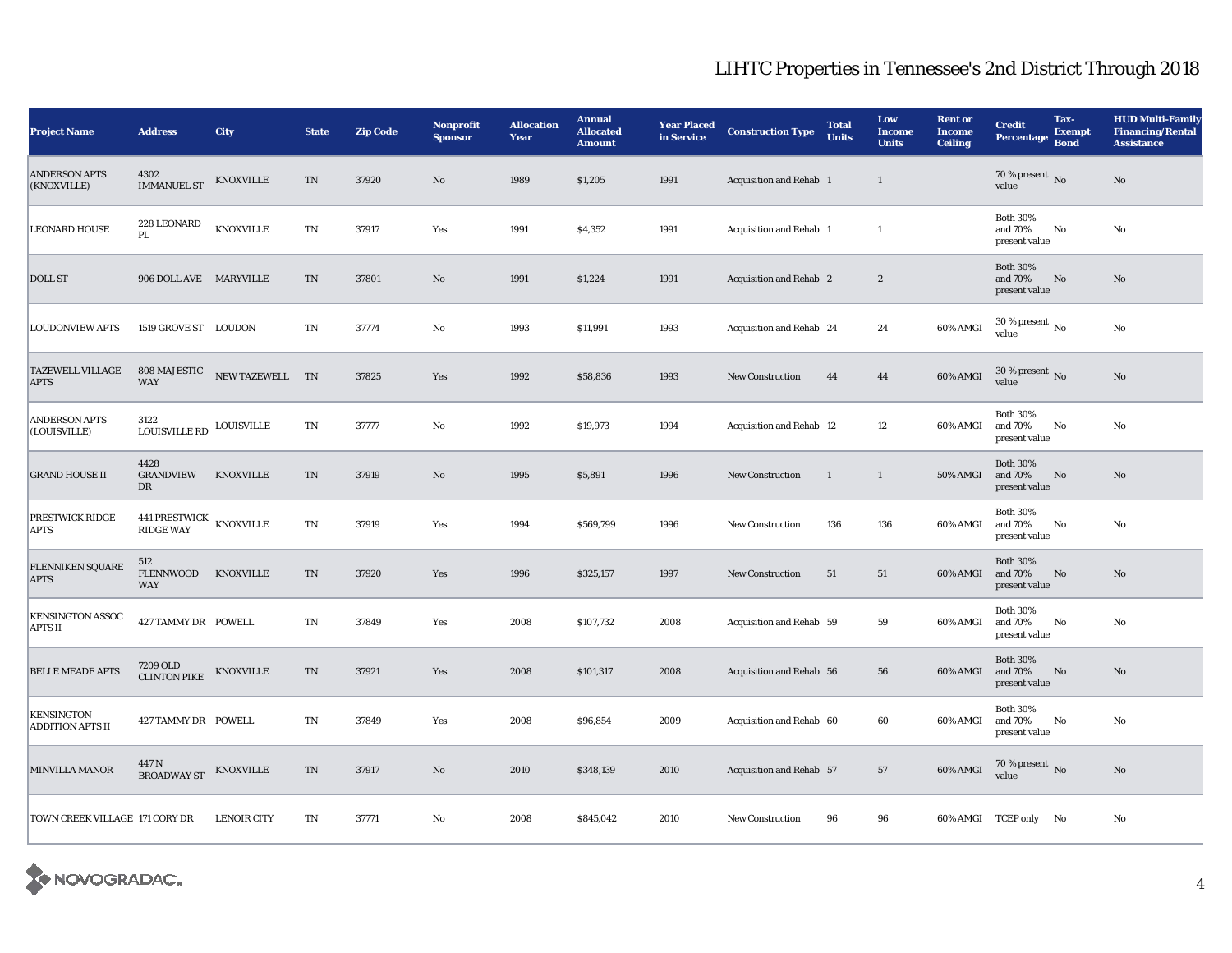| <b>Project Name</b>                    | <b>Address</b>                              | <b>City</b>        | <b>State</b>           | <b>Zip Code</b> | Nonprofit<br><b>Sponsor</b> | <b>Allocation</b><br>Year | <b>Annual</b><br><b>Allocated</b><br><b>Amount</b> | <b>Year Placed</b><br>in Service | <b>Construction Type</b> | <b>Total</b><br><b>Units</b> | Low<br><b>Income</b><br><b>Units</b> | <b>Rent or</b><br><b>Income</b><br><b>Ceiling</b> | <b>Credit</b><br><b>Percentage</b>          | Tax-<br><b>Exempt</b><br><b>Bond</b> | <b>HUD Multi-Family</b><br><b>Financing/Rental</b><br><b>Assistance</b> |
|----------------------------------------|---------------------------------------------|--------------------|------------------------|-----------------|-----------------------------|---------------------------|----------------------------------------------------|----------------------------------|--------------------------|------------------------------|--------------------------------------|---------------------------------------------------|---------------------------------------------|--------------------------------------|-------------------------------------------------------------------------|
| <b>ANDERSON APTS</b><br>(KNOXVILLE)    | 4302<br><b>IMMANUEL ST</b>                  | <b>KNOXVILLE</b>   | $\rm TN$               | 37920           | $\mathbf{N}\mathbf{o}$      | 1989                      | \$1,205                                            | 1991                             | Acquisition and Rehab 1  |                              | $\mathbf{1}$                         |                                                   | 70 % present $\,$ No $\,$<br>value          |                                      | $\rm No$                                                                |
| <b>LEONARD HOUSE</b>                   | 228 LEONARD<br>PL                           | <b>KNOXVILLE</b>   | TN                     | 37917           | Yes                         | 1991                      | \$4,352                                            | 1991                             | Acquisition and Rehab 1  |                              | $\mathbf{1}$                         |                                                   | <b>Both 30%</b><br>and 70%<br>present value | No                                   | No                                                                      |
| <b>DOLL ST</b>                         | 906 DOLL AVE MARYVILLE                      |                    | $\rm TN$               | 37801           | $\mathbf{N}\mathbf{o}$      | 1991                      | \$1,224                                            | 1991                             | Acquisition and Rehab 2  |                              | $\boldsymbol{2}$                     |                                                   | <b>Both 30%</b><br>and 70%<br>present value | No                                   | $\mathbf{N}\mathbf{o}$                                                  |
| <b>LOUDONVIEW APTS</b>                 | 1519 GROVE ST LOUDON                        |                    | <b>TN</b>              | 37774           | $\rm No$                    | 1993                      | \$11,991                                           | 1993                             | Acquisition and Rehab 24 |                              | 24                                   | 60% AMGI                                          | $30$ % present $_{\rm No}$<br>value         |                                      | $\rm No$                                                                |
| <b>TAZEWELL VILLAGE</b><br><b>APTS</b> | 808 MAJESTIC<br><b>WAY</b>                  | NEW TAZEWELL TN    |                        | 37825           | Yes                         | 1992                      | \$58,836                                           | 1993                             | <b>New Construction</b>  | 44                           | $\bf 44$                             | 60% AMGI                                          | 30 % present $_{\rm No}$<br>value           |                                      | $\rm No$                                                                |
| <b>ANDERSON APTS</b><br>(LOUISVILLE)   | 3122<br><b>LOUISVILLE RD</b>                | <b>LOUISVILLE</b>  | TN                     | 37777           | $\rm No$                    | 1992                      | \$19,973                                           | 1994                             | Acquisition and Rehab 12 |                              | 12                                   | 60% AMGI                                          | <b>Both 30%</b><br>and 70%<br>present value | No                                   | $\rm\thinspace No$                                                      |
| <b>GRAND HOUSE II</b>                  | 4428<br><b>GRANDVIEW</b><br>DR              | <b>KNOXVILLE</b>   | $\rm TN$               | 37919           | $\mathbf{N}\mathbf{o}$      | 1995                      | \$5,891                                            | 1996                             | New Construction         | $\mathbf{1}$                 | $\mathbf{1}$                         | <b>50% AMGI</b>                                   | <b>Both 30%</b><br>and 70%<br>present value | No                                   | $\mathbf{N}\mathbf{o}$                                                  |
| PRESTWICK RIDGE<br>APTS                | 441 PRESTWICK KNOXVILLE<br><b>RIDGE WAY</b> |                    | TN                     | 37919           | Yes                         | 1994                      | \$569,799                                          | 1996                             | <b>New Construction</b>  | 136                          | 136                                  | 60% AMGI                                          | <b>Both 30%</b><br>and 70%<br>present value | No                                   | $\rm No$                                                                |
| FLENNIKEN SQUARE<br><b>APTS</b>        | 512<br><b>FLENNWOOD</b><br>WAY              | <b>KNOXVILLE</b>   | $\mathbf{T}\mathbf{N}$ | 37920           | Yes                         | 1996                      | \$325,157                                          | 1997                             | <b>New Construction</b>  | 51                           | $51\,$                               | 60% AMGI                                          | <b>Both 30%</b><br>and 70%<br>present value | No                                   | $\mathbf{N}\mathbf{o}$                                                  |
| KENSINGTON ASSOC<br><b>APTS II</b>     | 427 TAMMY DR POWELL                         |                    | TN                     | 37849           | Yes                         | 2008                      | \$107,732                                          | 2008                             | Acquisition and Rehab 59 |                              | 59                                   | 60% AMGI                                          | <b>Both 30%</b><br>and 70%<br>present value | No                                   | No                                                                      |
| <b>BELLE MEADE APTS</b>                | 7209 OLD<br><b>CLINTON PIKE</b>             | <b>KNOXVILLE</b>   | TN                     | 37921           | Yes                         | 2008                      | \$101,317                                          | 2008                             | Acquisition and Rehab 56 |                              | 56                                   | 60% AMGI                                          | <b>Both 30%</b><br>and 70%<br>present value | No                                   | $\mathbf{N}\mathbf{o}$                                                  |
| <b>KENSINGTON</b><br>ADDITION APTS II  | 427 TAMMY DR POWELL                         |                    | TN                     | 37849           | Yes                         | 2008                      | \$96,854                                           | 2009                             | Acquisition and Rehab 60 |                              | 60                                   | 60% AMGI                                          | <b>Both 30%</b><br>and 70%<br>present value | No                                   | No                                                                      |
| MINVILLA MANOR                         | 447 N<br><b>BROADWAY ST</b>                 | <b>KNOXVILLE</b>   | TN                     | 37917           | $\mathbf{N}\mathbf{o}$      | 2010                      | \$348,139                                          | 2010                             | Acquisition and Rehab 57 |                              | 57                                   | 60% AMGI                                          | $70$ % present $\,$ No value                |                                      | $\mathbf{N}\mathbf{o}$                                                  |
| TOWN CREEK VILLAGE 171 CORY DR         |                                             | <b>LENOIR CITY</b> | TN                     | 37771           | No                          | 2008                      | \$845,042                                          | 2010                             | <b>New Construction</b>  | 96                           | 96                                   |                                                   | 60% AMGI TCEP only No                       |                                      | $\rm No$                                                                |

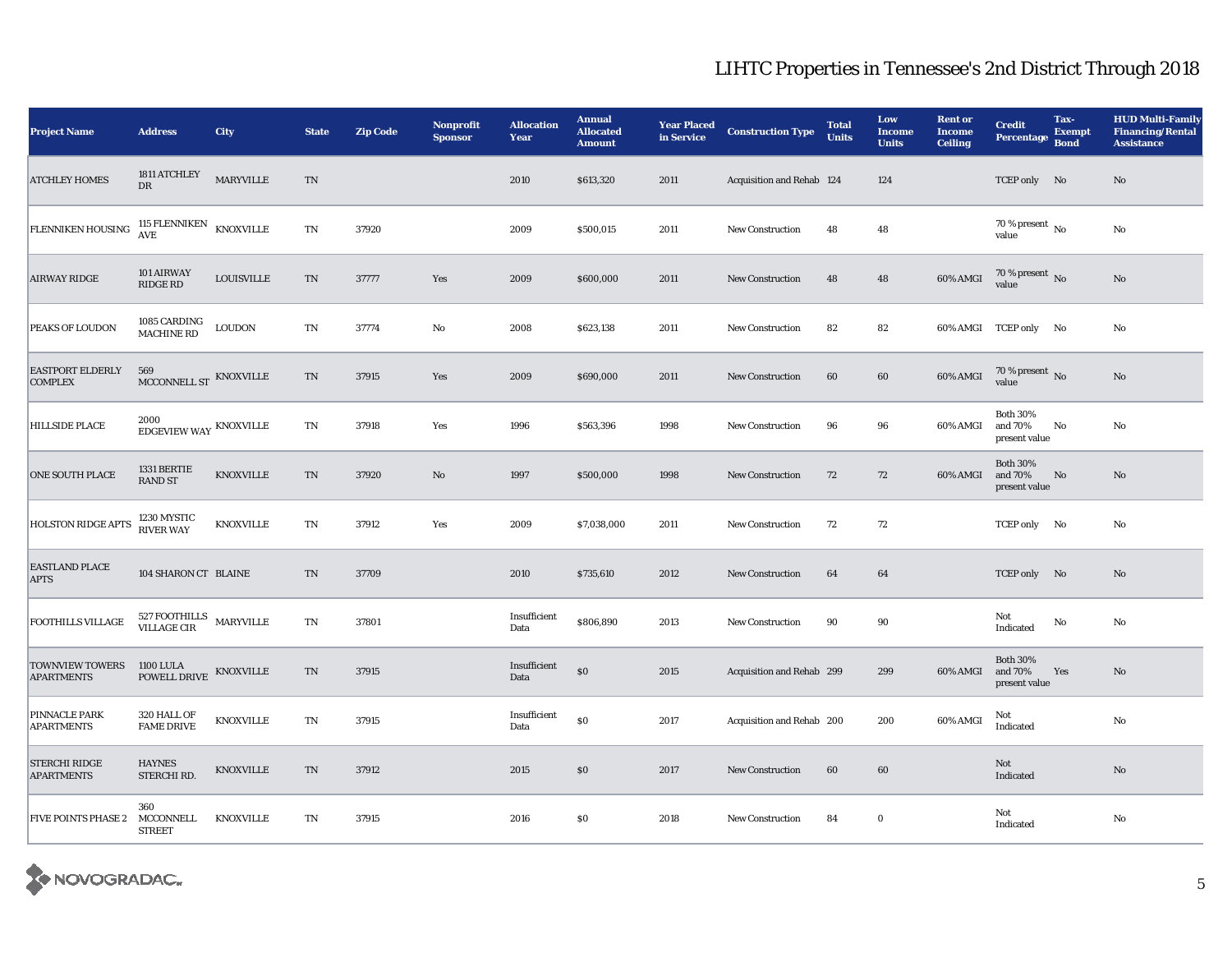| <b>Project Name</b>                         | <b>Address</b>                                 | City             | <b>State</b>               | <b>Zip Code</b> | <b>Nonprofit</b><br><b>Sponsor</b> | <b>Allocation</b><br>Year | <b>Annual</b><br><b>Allocated</b><br><b>Amount</b> | <b>Year Placed</b><br>in Service | <b>Construction Type</b>  | <b>Total</b><br><b>Units</b> | Low<br><b>Income</b><br><b>Units</b> | <b>Rent or</b><br><b>Income</b><br><b>Ceiling</b> | <b>Credit</b><br>Percentage                 | Tax-<br><b>Exempt</b><br><b>Bond</b> | <b>HUD Multi-Family</b><br><b>Financing/Rental</b><br><b>Assistance</b> |
|---------------------------------------------|------------------------------------------------|------------------|----------------------------|-----------------|------------------------------------|---------------------------|----------------------------------------------------|----------------------------------|---------------------------|------------------------------|--------------------------------------|---------------------------------------------------|---------------------------------------------|--------------------------------------|-------------------------------------------------------------------------|
| <b>ATCHLEY HOMES</b>                        | 1811 ATCHLEY<br>DR                             | MARYVILLE        | $\rm TN$                   |                 |                                    | 2010                      | \$613,320                                          | 2011                             | Acquisition and Rehab 124 |                              | 124                                  |                                                   | TCEP only No                                |                                      | No                                                                      |
| FLENNIKEN HOUSING                           | 115 FLENNIKEN<br>$\operatorname{AVE}$          | KNOXVILLE        | TN                         | 37920           |                                    | 2009                      | \$500,015                                          | 2011                             | New Construction          | 48                           | 48                                   |                                                   | 70 % present $\overline{N_0}$<br>value      |                                      | No                                                                      |
| <b>AIRWAY RIDGE</b>                         | 101 AIRWAY<br>RIDGE RD                         | $\sf LOUISVILLE$ | $\mathcal{T}\mathcal{N}$   | 37777           | Yes                                | 2009                      | \$600,000                                          | 2011                             | New Construction          | 48                           | 48                                   | 60% AMGI                                          | $70\,\%$ present $_{\rm No}$                |                                      | No                                                                      |
| PEAKS OF LOUDON                             | 1085 CARDING<br>MACHINE RD                     | <b>LOUDON</b>    | TN                         | 37774           | $\rm No$                           | 2008                      | \$623,138                                          | 2011                             | <b>New Construction</b>   | 82                           | 82                                   |                                                   | 60% AMGI TCEP only No                       |                                      | No                                                                      |
| <b>EASTPORT ELDERLY</b><br><b>COMPLEX</b>   | 569<br>MCCONNELL ST KNOXVILLE                  |                  | TN                         | 37915           | Yes                                | 2009                      | \$690,000                                          | 2011                             | <b>New Construction</b>   | 60                           | 60                                   | 60% AMGI                                          | $70\,\%$ present $\,$ No value              |                                      | No                                                                      |
| <b>HILLSIDE PLACE</b>                       | 2000<br>EDGEVIEW WAY KNOXVILLE                 |                  | TN                         | 37918           | $\operatorname{\textsc{Yes}}$      | 1996                      | \$563,396                                          | 1998                             | <b>New Construction</b>   | 96                           | 96                                   | 60% AMGI                                          | <b>Both 30%</b><br>and 70%<br>present value | No                                   | No                                                                      |
| <b>ONE SOUTH PLACE</b>                      | 1331 BERTIE<br><b>RAND ST</b>                  | <b>KNOXVILLE</b> | TN                         | 37920           | No                                 | 1997                      | \$500,000                                          | 1998                             | New Construction          | 72                           | 72                                   | 60% AMGI                                          | <b>Both 30%</b><br>and 70%<br>present value | No                                   | No                                                                      |
| <b>HOLSTON RIDGE APTS</b>                   | 1230 MYSTIC<br>RIVER WAY                       | KNOXVILLE        | $\mathop{\rm TN}\nolimits$ | 37912           | Yes                                | 2009                      | \$7,038,000                                        | 2011                             | <b>New Construction</b>   | 72                           | 72                                   |                                                   | TCEP only No                                |                                      | No                                                                      |
| <b>EASTLAND PLACE</b><br><b>APTS</b>        | 104 SHARON CT BLAINE                           |                  | TN                         | 37709           |                                    | 2010                      | \$735,610                                          | 2012                             | <b>New Construction</b>   | 64                           | 64                                   |                                                   | TCEP only No                                |                                      | No                                                                      |
| <b>FOOTHILLS VILLAGE</b>                    | $527$ FOOTHILLS $$\tt{MARYVILLE}$$ VILLAGE CIR |                  | $\mathop{\rm TN}\nolimits$ | 37801           |                                    | Insufficient<br>Data      | \$806,890                                          | 2013                             | <b>New Construction</b>   | 90                           | 90                                   |                                                   | Not<br>Indicated                            | $\mathbf {No}$                       | No                                                                      |
| <b>TOWNVIEW TOWERS</b><br><b>APARTMENTS</b> | <b>1100 LULA</b><br>POWELL DRIVE               | <b>KNOXVILLE</b> | TN                         | 37915           |                                    | Insufficient<br>Data      | \$0                                                | 2015                             | Acquisition and Rehab 299 |                              | 299                                  | 60% AMGI                                          | <b>Both 30%</b><br>and 70%<br>present value | Yes                                  | No                                                                      |
| PINNACLE PARK<br><b>APARTMENTS</b>          | 320 HALL OF<br><b>FAME DRIVE</b>               | KNOXVILLE        | $\mathop{\rm TN}\nolimits$ | 37915           |                                    | Insufficient<br>Data      | $\$0$                                              | 2017                             | Acquisition and Rehab 200 |                              | 200                                  | 60% AMGI                                          | Not<br>Indicated                            |                                      | $\rm No$                                                                |
| <b>STERCHI RIDGE</b><br><b>APARTMENTS</b>   | <b>HAYNES</b><br>STERCHI RD.                   | <b>KNOXVILLE</b> | TN                         | 37912           |                                    | 2015                      | \$0                                                | 2017                             | New Construction          | 60                           | 60                                   |                                                   | Not<br>Indicated                            |                                      | $\rm No$                                                                |
| <b>FIVE POINTS PHASE 2</b>                  | 360<br>MCCONNELL<br><b>STREET</b>              | <b>KNOXVILLE</b> | $\mathbf{T}\mathbf{N}$     | 37915           |                                    | 2016                      | \$0                                                | 2018                             | New Construction          | 84                           | $\bf{0}$                             |                                                   | Not<br>Indicated                            |                                      | No                                                                      |